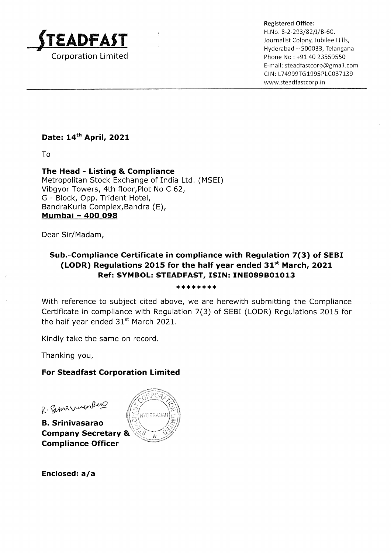

Registered Office:<br>H. No. 8-2-293/82/J/B-60,<br>Journalist Colony, Jubilee Hills,<br>Hyderabad – 500033, Telangana Phone No : +91 40 23559550 E-mail : steadfastcorp@gmail.com CIN: L74999TG1995PLC037139 www.steadfastcorp. in

# Date: 14<sup>th</sup> April, 2021

To

The Head - Listing & Compliance Metropolitan Stock Exchange of India Ltd. (MSEI) Vibgyor Towers, 4th floor,Plot No C 62, G - Block, Opp. Trident Hotel, BandraKurla Complex,Bandra (E), Mumbai - 4OO O98

Dear Sir/Madam,

## Sub.-Compliance Certificate in compliance with Regulation 7(3) of SEBI (LODR) Regulations 2015 for the half year ended  $31<sup>st</sup>$  March, 2021 Ref: SYMBOL: STEADFAST, ISIN: INE089B01013

\*\*\*\*\*\*\*\*

With reference to subject cited above, we are herewith submitting the Compliance Certificate in compliance with Regulation 7(3) of SEBI (LODR) Regulations 2015 for the half year ended  $31<sup>st</sup>$  March 2021.

Kindly take the same on record.

Thanking you,

## For Steadfast Corporation Limited

 $g$ . Siminalerland

B. Srinivasarao Company Secretary & Compliance Officer



Enclosed:  $a/a$